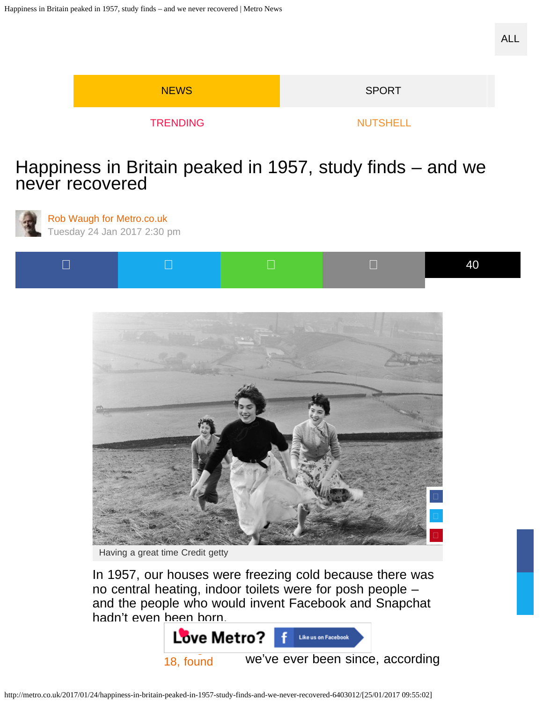| <b>NEWS</b>     | <b>SPORT</b>    |
|-----------------|-----------------|
| <b>TRENDING</b> | <b>NUTSHELL</b> |

## [Happiness in Britain peaked in 1957, study finds – and we](https://adclick.g.doubleclick.net/pcs/click?xai=AKAOjssdihlUaZvuBmI5NvHk6go-In8yBWiJM2UvMnFt5xONm7FXo4P_KNYTugteFZUnDGzB__5Dfp26kcCRkPGbjeE6Ba3v1pxOtHdo-ScO4MmNNg_hmtaqODhEU_kP0BkSmnFRXaSrd6JQpvSZtMX__nuxHd9Rs3rYirQT8-sVMDq7xvBzkgUTO2kSGBPq2I3hDF6SrnyamSHQ0CGklEaTj68JXZqQu56HFfHvqDRm2t2k10b-T_ozMT1lLqcCX3vTblw-5UutE1XocA&sig=Cg0ArKJSzOVNMaclxUu_EAE&urlfix=1&adurl=https://ad.doubleclick.net/ddm/trackclk/N5573.280686.MAILONLINE/B10855441.145036921;dc_trk_aid=316740969;dc_trk_cid=78484293;dc_lat=;dc_rdid=;tag_for_child_directed_treatment=) never recovered



[Rob Waugh for Metro.co.uk](http://metro.co.uk/author/rob-waugh/) Tuesday 24 Jan 2017 2:30 pm





Having a great time Credit getty

In 1957, our houses were freezing cold because there was no central heating, indoor toilets were for posh people – and the people who would invent Facebook and Snapchat hadn't even been born.